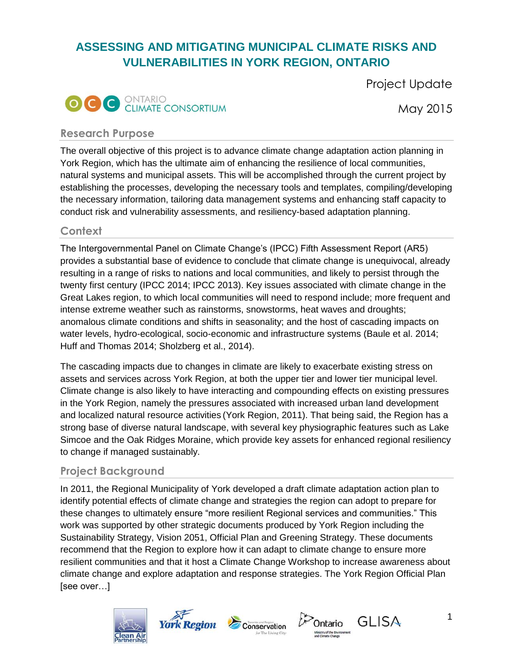# **ASSESSING AND MITIGATING MUNICIPAL CLIMATE RISKS AND VULNERABILITIES IN YORK REGION, ONTARIO**





May 2015

#### **Research Purpose**

The overall objective of this project is to advance climate change adaptation action planning in York Region, which has the ultimate aim of enhancing the resilience of local communities, natural systems and municipal assets. This will be accomplished through the current project by establishing the processes, developing the necessary tools and templates, compiling/developing the necessary information, tailoring data management systems and enhancing staff capacity to conduct risk and vulnerability assessments, and resiliency-based adaptation planning.

# **Context**

The Intergovernmental Panel on Climate Change's (IPCC) Fifth Assessment Report (AR5) provides a substantial base of evidence to conclude that climate change is unequivocal, already resulting in a range of risks to nations and local communities, and likely to persist through the twenty first century (IPCC 2014; IPCC 2013). Key issues associated with climate change in the Great Lakes region, to which local communities will need to respond include; more frequent and intense extreme weather such as rainstorms, snowstorms, heat waves and droughts; anomalous climate conditions and shifts in seasonality; and the host of cascading impacts on water levels, hydro-ecological, socio-economic and infrastructure systems (Baule et al. 2014; Huff and Thomas 2014; Sholzberg et al., 2014).

The cascading impacts due to changes in climate are likely to exacerbate existing stress on assets and services across York Region, at both the upper tier and lower tier municipal level. Climate change is also likely to have interacting and compounding effects on existing pressures in the York Region, namely the pressures associated with increased urban land development and localized natural resource activities (York Region, 2011). That being said, the Region has a strong base of diverse natural landscape, with several key physiographic features such as Lake Simcoe and the Oak Ridges Moraine, which provide key assets for enhanced regional resiliency to change if managed sustainably.

# **Project Background**

In 2011, the Regional Municipality of York developed a draft climate adaptation action plan to identify potential effects of climate change and strategies the region can adopt to prepare for these changes to ultimately ensure "more resilient Regional services and communities." This work was supported by other strategic documents produced by York Region including the Sustainability Strategy, Vision 2051, Official Plan and Greening Strategy. These documents recommend that the Region to explore how it can adapt to climate change to ensure more resilient communities and that it host a Climate Change Workshop to increase awareness about climate change and explore adaptation and response strategies. The York Region Official Plan [see over…]